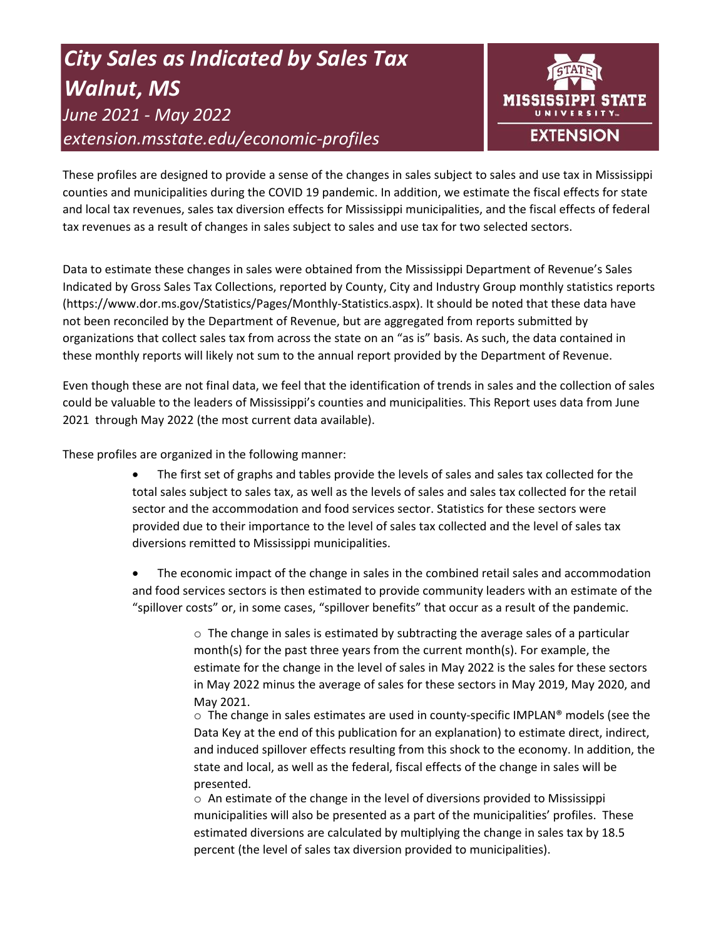# *City Sales as Indicated by Sales Tax Walnut, MS June 2021 - May 2022 extension.msstate.edu/economic-profiles*



These profiles are designed to provide a sense of the changes in sales subject to sales and use tax in Mississippi counties and municipalities during the COVID 19 pandemic. In addition, we estimate the fiscal effects for state and local tax revenues, sales tax diversion effects for Mississippi municipalities, and the fiscal effects of federal tax revenues as a result of changes in sales subject to sales and use tax for two selected sectors.

Data to estimate these changes in sales were obtained from the Mississippi Department of Revenue's Sales Indicated by Gross Sales Tax Collections, reported by County, City and Industry Group monthly statistics reports (https://www.dor.ms.gov/Statistics/Pages/Monthly-Statistics.aspx). It should be noted that these data have not been reconciled by the Department of Revenue, but are aggregated from reports submitted by organizations that collect sales tax from across the state on an "as is" basis. As such, the data contained in these monthly reports will likely not sum to the annual report provided by the Department of Revenue.

Even though these are not final data, we feel that the identification of trends in sales and the collection of sales could be valuable to the leaders of Mississippi's counties and municipalities. This Report uses data from June 2021 through May 2022 (the most current data available).

These profiles are organized in the following manner:

- The first set of graphs and tables provide the levels of sales and sales tax collected for the total sales subject to sales tax, as well as the levels of sales and sales tax collected for the retail sector and the accommodation and food services sector. Statistics for these sectors were provided due to their importance to the level of sales tax collected and the level of sales tax diversions remitted to Mississippi municipalities.
- The economic impact of the change in sales in the combined retail sales and accommodation and food services sectors is then estimated to provide community leaders with an estimate of the "spillover costs" or, in some cases, "spillover benefits" that occur as a result of the pandemic.

 $\circ$  The change in sales is estimated by subtracting the average sales of a particular month(s) for the past three years from the current month(s). For example, the estimate for the change in the level of sales in May 2022 is the sales for these sectors in May 2022 minus the average of sales for these sectors in May 2019, May 2020, and May 2021.

 $\circ$  The change in sales estimates are used in county-specific IMPLAN® models (see the Data Key at the end of this publication for an explanation) to estimate direct, indirect, and induced spillover effects resulting from this shock to the economy. In addition, the state and local, as well as the federal, fiscal effects of the change in sales will be presented.

 $\circ$  An estimate of the change in the level of diversions provided to Mississippi municipalities will also be presented as a part of the municipalities' profiles. These estimated diversions are calculated by multiplying the change in sales tax by 18.5 percent (the level of sales tax diversion provided to municipalities).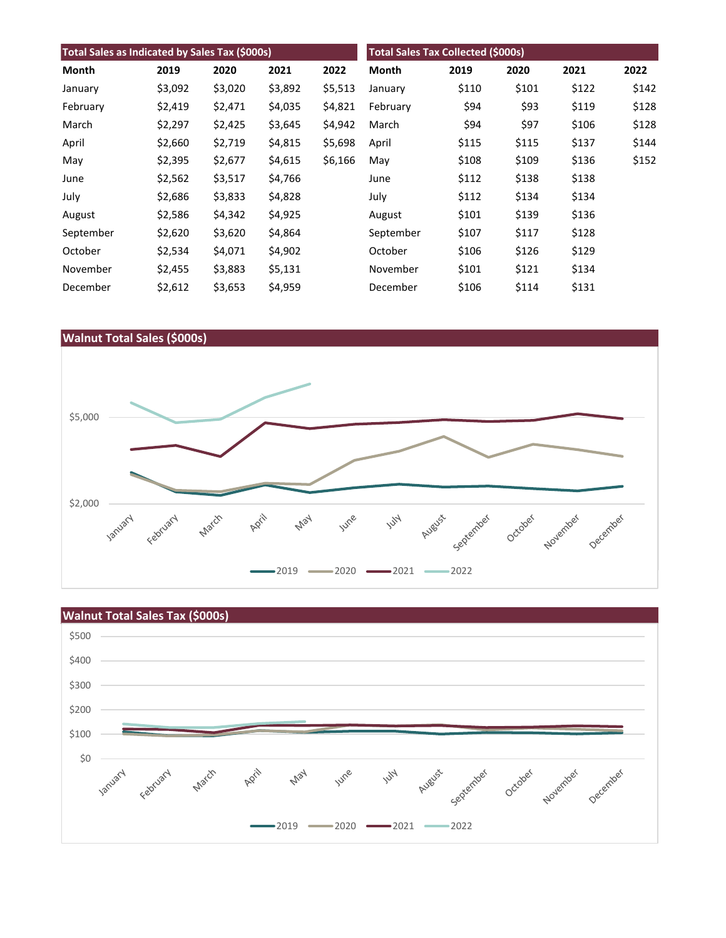| Total Sales as Indicated by Sales Tax (\$000s) |         |         |         | <b>Total Sales Tax Collected (\$000s)</b> |           |       |       |       |       |
|------------------------------------------------|---------|---------|---------|-------------------------------------------|-----------|-------|-------|-------|-------|
| Month                                          | 2019    | 2020    | 2021    | 2022                                      | Month     | 2019  | 2020  | 2021  | 2022  |
| January                                        | \$3,092 | \$3,020 | \$3,892 | \$5,513                                   | January   | \$110 | \$101 | \$122 | \$142 |
| February                                       | \$2,419 | \$2,471 | \$4,035 | \$4,821                                   | February  | \$94  | \$93  | \$119 | \$128 |
| March                                          | \$2,297 | \$2,425 | \$3,645 | \$4,942                                   | March     | \$94  | \$97  | \$106 | \$128 |
| April                                          | \$2,660 | \$2,719 | \$4,815 | \$5,698                                   | April     | \$115 | \$115 | \$137 | \$144 |
| May                                            | \$2,395 | \$2,677 | \$4,615 | \$6,166                                   | May       | \$108 | \$109 | \$136 | \$152 |
| June                                           | \$2,562 | \$3,517 | \$4,766 |                                           | June      | \$112 | \$138 | \$138 |       |
| July                                           | \$2,686 | \$3,833 | \$4,828 |                                           | July      | \$112 | \$134 | \$134 |       |
| August                                         | \$2,586 | \$4,342 | \$4,925 |                                           | August    | \$101 | \$139 | \$136 |       |
| September                                      | \$2,620 | \$3,620 | \$4,864 |                                           | September | \$107 | \$117 | \$128 |       |
| October                                        | \$2,534 | \$4,071 | \$4,902 |                                           | October   | \$106 | \$126 | \$129 |       |
| November                                       | \$2,455 | \$3,883 | \$5,131 |                                           | November  | \$101 | \$121 | \$134 |       |
| December                                       | \$2,612 | \$3,653 | \$4,959 |                                           | December  | \$106 | \$114 | \$131 |       |



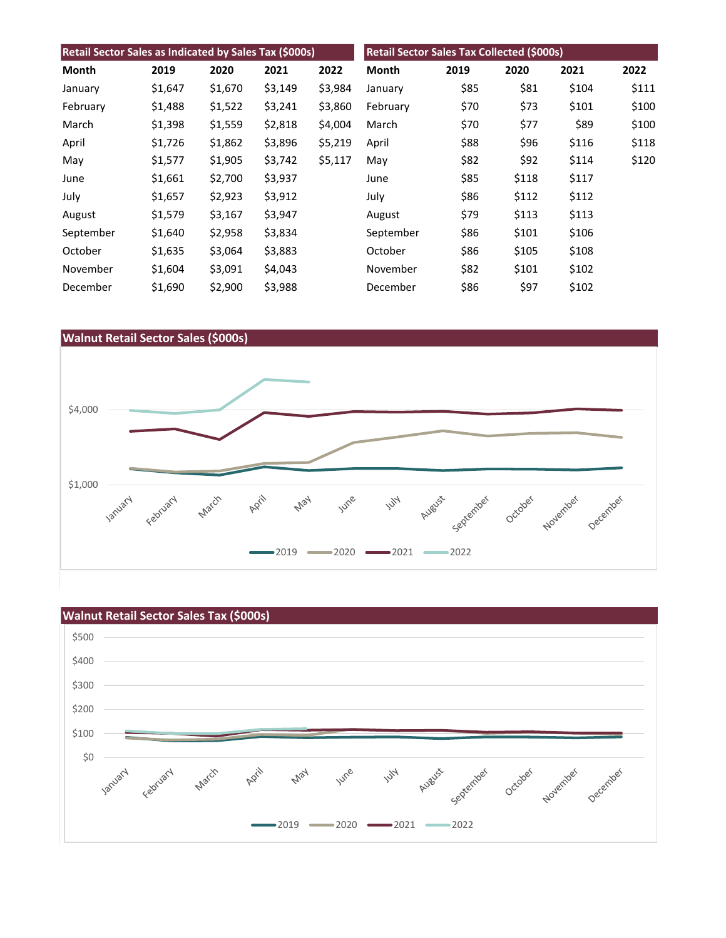| Retail Sector Sales as Indicated by Sales Tax (\$000s) |         |         |         | Retail Sector Sales Tax Collected (\$000s) |           |      |       |       |       |
|--------------------------------------------------------|---------|---------|---------|--------------------------------------------|-----------|------|-------|-------|-------|
| Month                                                  | 2019    | 2020    | 2021    | 2022                                       | Month     | 2019 | 2020  | 2021  | 2022  |
| January                                                | \$1,647 | \$1,670 | \$3,149 | \$3,984                                    | January   | \$85 | \$81  | \$104 | \$111 |
| February                                               | \$1,488 | \$1,522 | \$3,241 | \$3,860                                    | February  | \$70 | \$73  | \$101 | \$100 |
| March                                                  | \$1,398 | \$1,559 | \$2,818 | \$4,004                                    | March     | \$70 | \$77  | \$89  | \$100 |
| April                                                  | \$1,726 | \$1,862 | \$3,896 | \$5,219                                    | April     | \$88 | \$96  | \$116 | \$118 |
| May                                                    | \$1,577 | \$1,905 | \$3,742 | \$5,117                                    | May       | \$82 | \$92  | \$114 | \$120 |
| June                                                   | \$1,661 | \$2,700 | \$3,937 |                                            | June      | \$85 | \$118 | \$117 |       |
| July                                                   | \$1,657 | \$2,923 | \$3,912 |                                            | July      | \$86 | \$112 | \$112 |       |
| August                                                 | \$1,579 | \$3,167 | \$3,947 |                                            | August    | \$79 | \$113 | \$113 |       |
| September                                              | \$1,640 | \$2,958 | \$3,834 |                                            | September | \$86 | \$101 | \$106 |       |
| October                                                | \$1,635 | \$3,064 | \$3,883 |                                            | October   | \$86 | \$105 | \$108 |       |
| November                                               | \$1,604 | \$3,091 | \$4,043 |                                            | November  | \$82 | \$101 | \$102 |       |
| December                                               | \$1,690 | \$2,900 | \$3,988 |                                            | December  | \$86 | \$97  | \$102 |       |



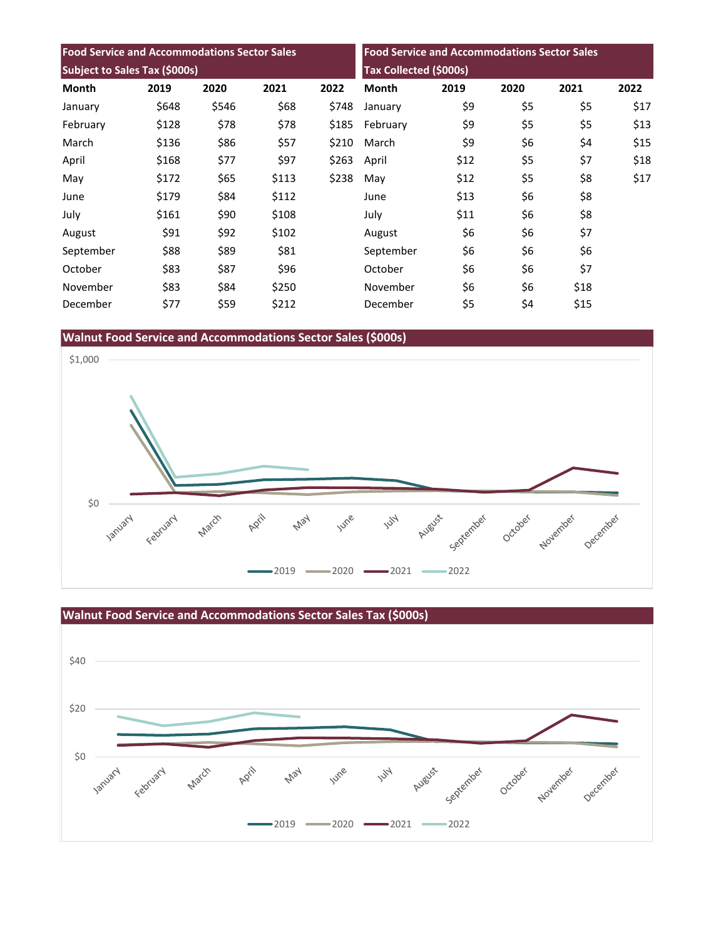| <b>Food Service and Accommodations Sector Sales</b> |       |       |       | <b>Food Service and Accommodations Sector Sales</b><br>Tax Collected (\$000s) |              |      |      |      |      |
|-----------------------------------------------------|-------|-------|-------|-------------------------------------------------------------------------------|--------------|------|------|------|------|
| Subject to Sales Tax (\$000s)                       |       |       |       |                                                                               |              |      |      |      |      |
| <b>Month</b>                                        | 2019  | 2020  | 2021  | 2022                                                                          | <b>Month</b> | 2019 | 2020 | 2021 | 2022 |
| January                                             | \$648 | \$546 | \$68  | \$748                                                                         | January      | \$9  | \$5  | \$5  | \$17 |
| February                                            | \$128 | \$78  | \$78  | \$185                                                                         | February     | \$9  | \$5  | \$5  | \$13 |
| March                                               | \$136 | \$86  | \$57  | \$210                                                                         | March        | \$9  | \$6  | \$4  | \$15 |
| April                                               | \$168 | \$77  | \$97  | \$263                                                                         | April        | \$12 | \$5  | \$7  | \$18 |
| May                                                 | \$172 | \$65  | \$113 | \$238                                                                         | May          | \$12 | \$5  | \$8  | \$17 |
| June                                                | \$179 | \$84  | \$112 |                                                                               | June         | \$13 | \$6  | \$8  |      |
| July                                                | \$161 | \$90  | \$108 |                                                                               | July         | \$11 | \$6  | \$8  |      |
| August                                              | \$91  | \$92  | \$102 |                                                                               | August       | \$6  | \$6  | \$7  |      |
| September                                           | \$88  | \$89  | \$81  |                                                                               | September    | \$6  | \$6  | \$6  |      |
| October                                             | \$83  | \$87  | \$96  |                                                                               | October      | \$6  | \$6  | \$7  |      |
| November                                            | \$83  | \$84  | \$250 |                                                                               | November     | \$6  | \$6  | \$18 |      |
| December                                            | \$77  | \$59  | \$212 |                                                                               | December     | \$5  | \$4  | \$15 |      |

**Walnut Food Service and Accommodations Sector Sales (\$000s)**





**Walnut Food Service and Accommodations Sector Sales Tax (\$000s)**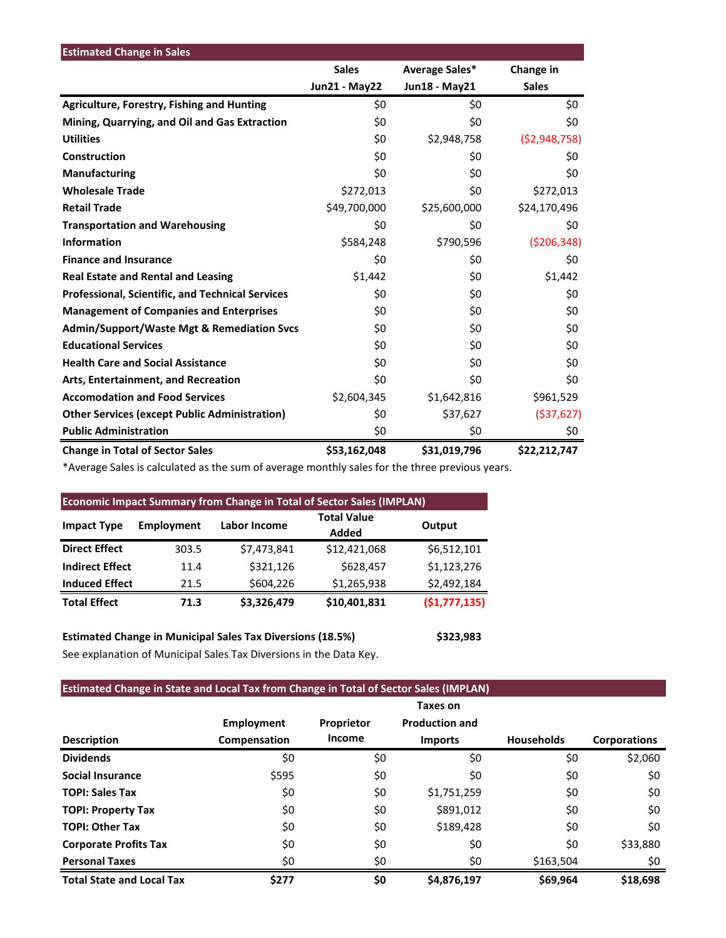| <b>Estimated Change in Sales</b>                        |                      |                |               |
|---------------------------------------------------------|----------------------|----------------|---------------|
|                                                         | <b>Sales</b>         | Average Sales* | Change in     |
|                                                         | <b>Jun21 - May22</b> | Jun18 - May21  | <b>Sales</b>  |
| <b>Agriculture, Forestry, Fishing and Hunting</b>       | \$0                  | \$0            | \$0           |
| Mining, Quarrying, and Oil and Gas Extraction           | \$0                  | \$0            | \$0           |
| <b>Utilities</b>                                        | \$0                  | \$2,948,758    | (52,948,758)  |
| Construction                                            | \$0                  | \$0            | \$0           |
| <b>Manufacturing</b>                                    | \$0                  | \$0            | \$0           |
| <b>Wholesale Trade</b>                                  | \$272,013            | \$0            | \$272,013     |
| <b>Retail Trade</b>                                     | \$49,700,000         | \$25,600,000   | \$24,170,496  |
| <b>Transportation and Warehousing</b>                   | \$0                  | \$0            | \$0           |
| <b>Information</b>                                      | \$584,248            | \$790,596      | ( \$206, 348) |
| <b>Finance and Insurance</b>                            | \$0                  | \$0            | \$0           |
| <b>Real Estate and Rental and Leasing</b>               | \$1,442              | \$0            | \$1,442       |
| <b>Professional, Scientific, and Technical Services</b> | \$0                  | \$0            | \$0           |
| <b>Management of Companies and Enterprises</b>          | \$0                  | \$0            | \$0           |
| <b>Admin/Support/Waste Mgt &amp; Remediation Svcs</b>   | \$0                  | \$0            | \$0           |
| <b>Educational Services</b>                             | \$0                  | \$0            | \$0           |
| <b>Health Care and Social Assistance</b>                | \$0                  | \$0            | \$0           |
| Arts, Entertainment, and Recreation                     | \$0                  | \$0            | \$0           |
| <b>Accomodation and Food Services</b>                   | \$2,604,345          | \$1,642,816    | \$961,529     |
| <b>Other Services (except Public Administration)</b>    | \$0                  | \$37,627       | ( \$37, 627)  |
| <b>Public Administration</b>                            | \$0                  | \$0            | \$0           |
| <b>Change in Total of Sector Sales</b>                  | \$53,162,048         | \$31,019,796   | \$22,212,747  |

\*Average Sales is calculated as the sum of average monthly sales for the three previous years.

| <b>Economic Impact Summary from Change in Total of Sector Sales (IMPLAN)</b> |                   |                     |                             |              |  |  |  |  |
|------------------------------------------------------------------------------|-------------------|---------------------|-----------------------------|--------------|--|--|--|--|
| <b>Impact Type</b>                                                           | <b>Employment</b> | <b>Labor Income</b> | <b>Total Value</b><br>Added | Output       |  |  |  |  |
| <b>Direct Effect</b>                                                         | 303.5             | \$7,473,841         | \$12,421,068                | \$6,512,101  |  |  |  |  |
| <b>Indirect Effect</b>                                                       | 11.4              | \$321,126           | \$628,457                   | \$1,123,276  |  |  |  |  |
| <b>Induced Effect</b>                                                        | 21.5              | \$604,226           | \$1,265,938                 | \$2,492,184  |  |  |  |  |
| <b>Total Effect</b>                                                          | 71.3              | \$3,326,479         | \$10,401,831                | (51,777,135) |  |  |  |  |

**Estimated Change in Municipal Sales Tax Diversions (18.5%) \$323,983** See explanation of Municipal Sales Tax Diversions in the Data Key.

## **Estimated Change in State and Local Tax from Change in Total of Sector Sales (IMPLAN)**

|                                  |                   |            | Taxes on              |                   |                     |
|----------------------------------|-------------------|------------|-----------------------|-------------------|---------------------|
|                                  | <b>Employment</b> | Proprietor | <b>Production and</b> |                   |                     |
| <b>Description</b>               | Compensation      | Income     | <b>Imports</b>        | <b>Households</b> | <b>Corporations</b> |
| <b>Dividends</b>                 | \$0               | \$0        | \$0                   | \$0               | \$2,060             |
| <b>Social Insurance</b>          | \$595             | \$0        | \$0                   | \$0               | \$0                 |
| <b>TOPI: Sales Tax</b>           | \$0               | \$0        | \$1,751,259           | \$0               | \$0                 |
| <b>TOPI: Property Tax</b>        | \$0               | \$0        | \$891,012             | \$0               | \$0                 |
| <b>TOPI: Other Tax</b>           | \$0               | \$0        | \$189,428             | \$0               | \$0                 |
| <b>Corporate Profits Tax</b>     | \$0               | \$0        | \$0                   | \$0               | \$33,880            |
| <b>Personal Taxes</b>            | \$0               | \$0        | \$0                   | \$163,504         | \$0                 |
| <b>Total State and Local Tax</b> | \$277             | \$0        | \$4,876,197           | \$69,964          | \$18,698            |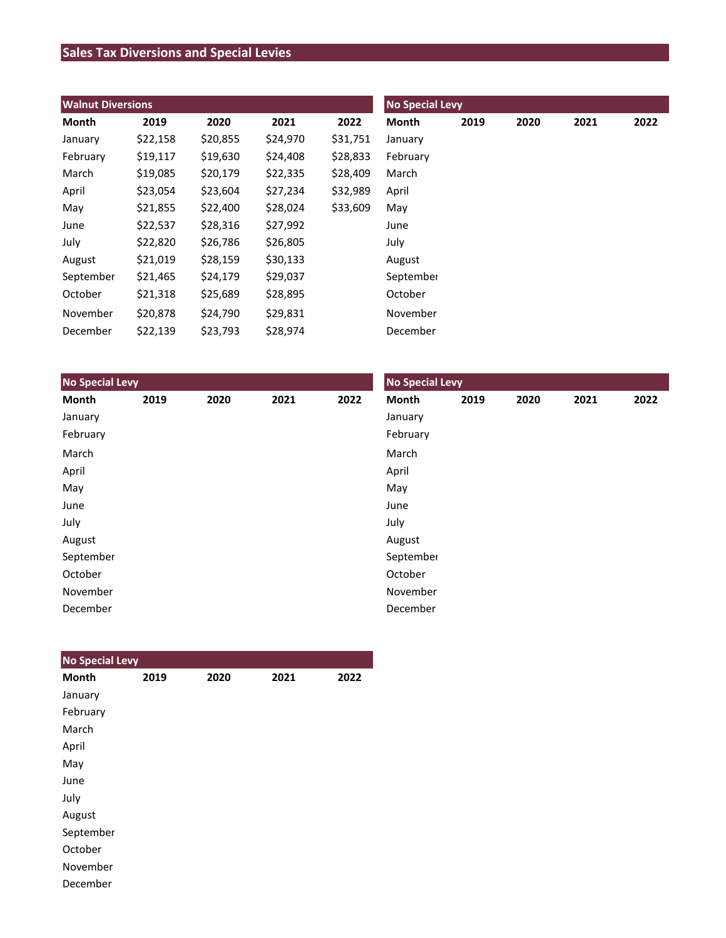# **Sales Tax Diversions and Special Levies**

| <b>Walnut Diversions</b> |          |          |          |          | <b>No Special Levy</b> |      |      |      |      |
|--------------------------|----------|----------|----------|----------|------------------------|------|------|------|------|
| Month                    | 2019     | 2020     | 2021     | 2022     | Month                  | 2019 | 2020 | 2021 | 2022 |
| January                  | \$22,158 | \$20,855 | \$24,970 | \$31,751 | January                |      |      |      |      |
| February                 | \$19,117 | \$19,630 | \$24,408 | \$28,833 | February               |      |      |      |      |
| March                    | \$19,085 | \$20,179 | \$22,335 | \$28,409 | March                  |      |      |      |      |
| April                    | \$23,054 | \$23,604 | \$27,234 | \$32,989 | April                  |      |      |      |      |
| May                      | \$21,855 | \$22,400 | \$28,024 | \$33,609 | May                    |      |      |      |      |
| June                     | \$22,537 | \$28,316 | \$27,992 |          | June                   |      |      |      |      |
| July                     | \$22,820 | \$26,786 | \$26,805 |          | July                   |      |      |      |      |
| August                   | \$21,019 | \$28,159 | \$30,133 |          | August                 |      |      |      |      |
| September                | \$21,465 | \$24,179 | \$29,037 |          | September              |      |      |      |      |
| October                  | \$21,318 | \$25,689 | \$28,895 |          | October                |      |      |      |      |
| November                 | \$20,878 | \$24,790 | \$29,831 |          | November               |      |      |      |      |
| December                 | \$22,139 | \$23,793 | \$28,974 |          | December               |      |      |      |      |

| <b>No Special Levy</b> |      |      |      |      | <b>No Special Levy</b> |      |      |      |      |  |
|------------------------|------|------|------|------|------------------------|------|------|------|------|--|
| Month                  | 2019 | 2020 | 2021 | 2022 | Month                  | 2019 | 2020 | 2021 | 2022 |  |
| January                |      |      |      |      | January                |      |      |      |      |  |
| February               |      |      |      |      | February               |      |      |      |      |  |
| March                  |      |      |      |      | March                  |      |      |      |      |  |
| April                  |      |      |      |      | April                  |      |      |      |      |  |
| May                    |      |      |      |      | May                    |      |      |      |      |  |
| June                   |      |      |      |      | June                   |      |      |      |      |  |
| July                   |      |      |      |      | July                   |      |      |      |      |  |
| August                 |      |      |      |      | August                 |      |      |      |      |  |
| September              |      |      |      |      | September              |      |      |      |      |  |
| October                |      |      |      |      | October                |      |      |      |      |  |
| November               |      |      |      |      | November               |      |      |      |      |  |
| December               |      |      |      |      | December               |      |      |      |      |  |

| <b>No Special Levy</b> |      |      |      |      |
|------------------------|------|------|------|------|
| <b>Month</b>           | 2019 | 2020 | 2021 | 2022 |
| January                |      |      |      |      |
| February               |      |      |      |      |
| March                  |      |      |      |      |
| April                  |      |      |      |      |
| May                    |      |      |      |      |
| June                   |      |      |      |      |
| July                   |      |      |      |      |
| August                 |      |      |      |      |
| September              |      |      |      |      |
| October                |      |      |      |      |
| November               |      |      |      |      |
| December               |      |      |      |      |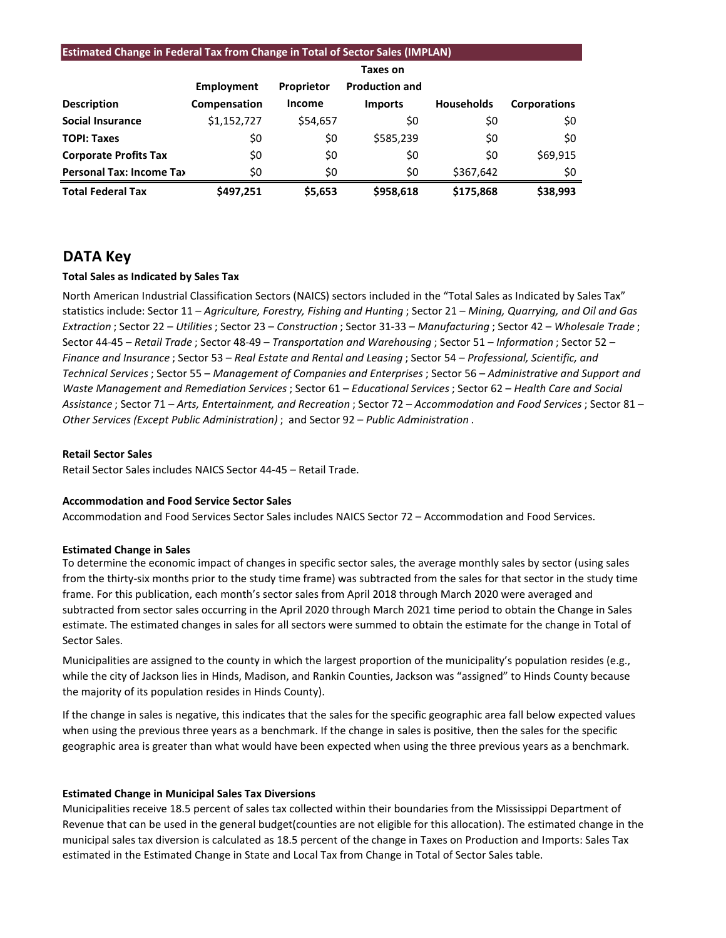#### **Estimated Change in Federal Tax from Change in Total of Sector Sales (IMPLAN)**

|                                 |              |                   | Taxes on              |                   |                     |
|---------------------------------|--------------|-------------------|-----------------------|-------------------|---------------------|
|                                 | Employment   | <b>Proprietor</b> | <b>Production and</b> |                   |                     |
| <b>Description</b>              | Compensation | <b>Income</b>     | <b>Imports</b>        | <b>Households</b> | <b>Corporations</b> |
| <b>Social Insurance</b>         | \$1,152,727  | \$54,657          | \$0                   | \$0               | \$0                 |
| <b>TOPI: Taxes</b>              | \$0          | \$0               | \$585,239             | \$0               | \$0                 |
| <b>Corporate Profits Tax</b>    | \$0          | \$0               | \$0                   | \$0               | \$69,915            |
| <b>Personal Tax: Income Tax</b> | \$0          | \$0               | \$0                   | \$367,642         | \$0                 |
| <b>Total Federal Tax</b>        | \$497,251    | \$5,653           | \$958,618             | \$175,868         | \$38,993            |

## **DATA Key**

#### **Total Sales as Indicated by Sales Tax**

North American Industrial Classification Sectors (NAICS) sectors included in the "Total Sales as Indicated by Sales Tax" statistics include: Sector 11 – *Agriculture, Forestry, Fishing and Hunting* ; Sector 21 – *Mining, Quarrying, and Oil and Gas Extraction* ; Sector 22 – *Utilities*; Sector 23 – *Construction* ; Sector 31-33 – *Manufacturing* ; Sector 42 – *Wholesale Trade* ; Sector 44-45 – *Retail Trade* ; Sector 48-49 – *Transportation and Warehousing* ; Sector 51 – *Information* ; Sector 52 – *Finance and Insurance* ; Sector 53 – *Real Estate and Rental and Leasing* ; Sector 54 – *Professional, Scientific, and Technical Services*; Sector 55 – *Management of Companies and Enterprises* ; Sector 56 – *Administrative and Support and Waste Management and Remediation Services* ; Sector 61 – *Educational Services*; Sector 62 – *Health Care and Social Assistance* ; Sector 71 – *Arts, Entertainment, and Recreation* ; Sector 72 – *Accommodation and Food Services* ; Sector 81 – *Other Services (Except Public Administration)* ; and Sector 92 – *Public Administration* .

#### **Retail Sector Sales**

Retail Sector Sales includes NAICS Sector 44-45 – Retail Trade.

#### **Accommodation and Food Service Sector Sales**

Accommodation and Food Services Sector Sales includes NAICS Sector 72 – Accommodation and Food Services.

#### **Estimated Change in Sales**

To determine the economic impact of changes in specific sector sales, the average monthly sales by sector (using sales from the thirty-six months prior to the study time frame) was subtracted from the sales for that sector in the study time frame. For this publication, each month's sector sales from April 2018 through March 2020 were averaged and subtracted from sector sales occurring in the April 2020 through March 2021 time period to obtain the Change in Sales estimate. The estimated changes in sales for all sectors were summed to obtain the estimate for the change in Total of Sector Sales.

Municipalities are assigned to the county in which the largest proportion of the municipality's population resides (e.g., while the city of Jackson lies in Hinds, Madison, and Rankin Counties, Jackson was "assigned" to Hinds County because the majority of its population resides in Hinds County).

If the change in sales is negative, this indicates that the sales for the specific geographic area fall below expected values when using the previous three years as a benchmark. If the change in sales is positive, then the sales for the specific geographic area is greater than what would have been expected when using the three previous years as a benchmark.

#### **Estimated Change in Municipal Sales Tax Diversions**

Municipalities receive 18.5 percent of sales tax collected within their boundaries from the Mississippi Department of Revenue that can be used in the general budget(counties are not eligible for this allocation). The estimated change in the municipal sales tax diversion is calculated as 18.5 percent of the change in Taxes on Production and Imports: Sales Tax estimated in the Estimated Change in State and Local Tax from Change in Total of Sector Sales table.